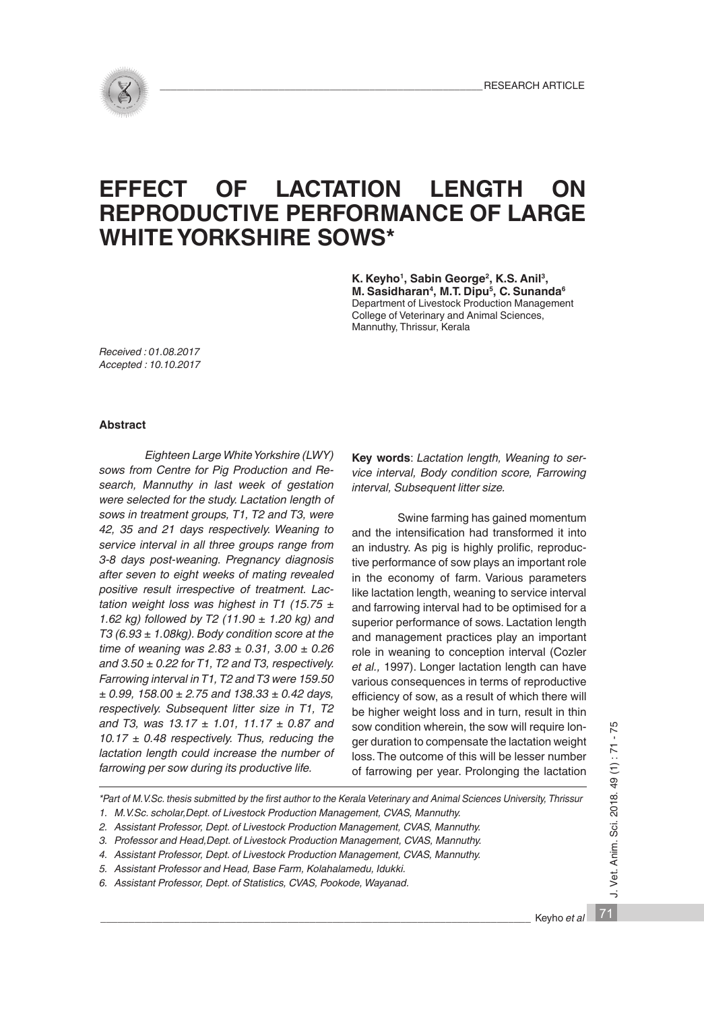

# **EFFECT OF LACTATION LENGTH ON REPRODUCTIVE PERFORMANCE OF LARGE WHITE YORKSHIRE SOWS\***

**K. Keyho1, Sabin George2, K.S. Anil3, M. Sasidharan4, M.T. Dipu5, C. Sunanda6** Department of Livestock Production Management College of Veterinary and Animal Sciences, Mannuthy, Thrissur, Kerala

*Received : 01.08.2017 Accepted : 10.10.2017*

# **Abstract**

*Eighteen Large White Yorkshire (LWY) sows from Centre for Pig Production and Research, Mannuthy in last week of gestation were selected for the study. Lactation length of sows in treatment groups, T1, T2 and T3, were 42, 35 and 21 days respectively. Weaning to service interval in all three groups range from 3-8 days post-weaning. Pregnancy diagnosis after seven to eight weeks of mating revealed positive result irrespective of treatment. Lactation weight loss was highest in T1 (15.75 ± 1.62 kg) followed by T2 (11.90 ± 1.20 kg) and T3 (6.93 ± 1.08kg). Body condition score at the time of weaning was 2.83 ± 0.31, 3.00 ± 0.26 and 3.50 ± 0.22 for T1, T2 and T3, respectively. Farrowing interval in T1, T2 and T3 were 159.50 ± 0.99, 158.00 ± 2.75 and 138.33 ± 0.42 days, respectively. Subsequent litter size in T1, T2 and T3, was 13.17 ± 1.01, 11.17 ± 0.87 and 10.17 ± 0.48 respectively. Thus, reducing the lactation length could increase the number of farrowing per sow during its productive life.* 

**Key words**: *Lactation length, Weaning to service interval, Body condition score, Farrowing interval, Subsequent litter size.*

Swine farming has gained momentum and the intensification had transformed it into an industry. As pig is highly prolific, reproductive performance of sow plays an important role in the economy of farm. Various parameters like lactation length, weaning to service interval and farrowing interval had to be optimised for a superior performance of sows. Lactation length and management practices play an important role in weaning to conception interval (Cozler *et al.,* 1997). Longer lactation length can have various consequences in terms of reproductive efficiency of sow, as a result of which there will be higher weight loss and in turn, result in thin sow condition wherein, the sow will require longer duration to compensate the lactation weight loss. The outcome of this will be lesser number of farrowing per year. Prolonging the lactation

*\*Part of M.V.Sc. thesis submitted by the first author to the Kerala Veterinary and Animal Sciences University, Thrissur 1. M.V.Sc. scholar,Dept. of Livestock Production Management, CVAS, Mannuthy.*

*5. Assistant Professor and Head, Base Farm, Kolahalamedu, Idukki.*

*6. Assistant Professor, Dept. of Statistics, CVAS, Pookode, Wayanad.*

J. Vet. Anim. Sci. 2018. 49 (1): 71 - 75 71 J. Vet. Anim. Sci. 2018. 49 (1) : 71 - 75

*<sup>2.</sup> Assistant Professor, Dept. of Livestock Production Management, CVAS, Mannuthy.*

*<sup>3.</sup> Professor and Head,Dept. of Livestock Production Management, CVAS, Mannuthy.*

*<sup>4.</sup> Assistant Professor, Dept. of Livestock Production Management, CVAS, Mannuthy.*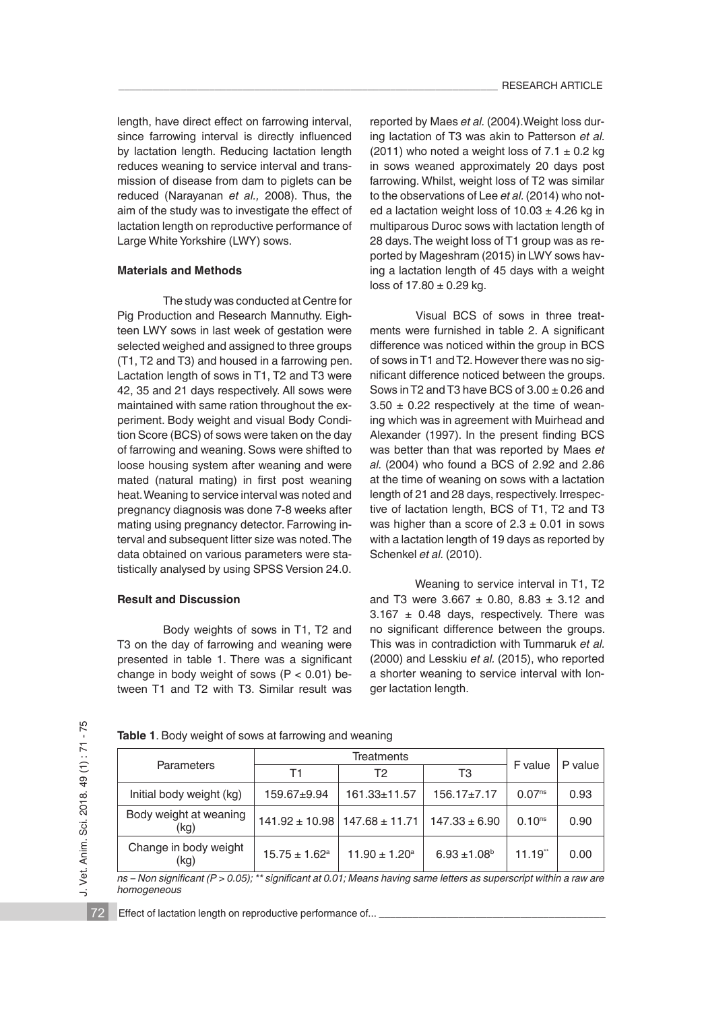length, have direct effect on farrowing interval, since farrowing interval is directly influenced by lactation length. Reducing lactation length reduces weaning to service interval and transmission of disease from dam to piglets can be reduced (Narayanan *et al.,* 2008). Thus, the aim of the study was to investigate the effect of lactation length on reproductive performance of Large White Yorkshire (LWY) sows.

# **Materials and Methods**

The study was conducted at Centre for Pig Production and Research Mannuthy. Eighteen LWY sows in last week of gestation were selected weighed and assigned to three groups (T1, T2 and T3) and housed in a farrowing pen. Lactation length of sows in T1, T2 and T3 were 42, 35 and 21 days respectively. All sows were maintained with same ration throughout the experiment. Body weight and visual Body Condition Score (BCS) of sows were taken on the day of farrowing and weaning. Sows were shifted to loose housing system after weaning and were mated (natural mating) in first post weaning heat. Weaning to service interval was noted and pregnancy diagnosis was done 7-8 weeks after mating using pregnancy detector. Farrowing interval and subsequent litter size was noted. The data obtained on various parameters were statistically analysed by using SPSS Version 24.0.

#### **Result and Discussion**

Body weights of sows in T1, T2 and T3 on the day of farrowing and weaning were presented in table 1. There was a significant change in body weight of sows  $(P < 0.01)$  between T1 and T2 with T3. Similar result was reported by Maes *et al.* (2004).Weight loss during lactation of T3 was akin to Patterson *et al.*  (2011) who noted a weight loss of  $7.1 \pm 0.2$  kg in sows weaned approximately 20 days post farrowing. Whilst, weight loss of T2 was similar to the observations of Lee *et al.* (2014) who noted a lactation weight loss of  $10.03 \pm 4.26$  kg in multiparous Duroc sows with lactation length of 28 days. The weight loss of T1 group was as reported by Mageshram (2015) in LWY sows having a lactation length of 45 days with a weight loss of  $17.80 \pm 0.29$  kg.

Visual BCS of sows in three treatments were furnished in table 2. A significant difference was noticed within the group in BCS of sows in T1 and T2. However there was no significant difference noticed between the groups. Sows in T2 and T3 have BCS of  $3.00 \pm 0.26$  and  $3.50 \pm 0.22$  respectively at the time of weaning which was in agreement with Muirhead and Alexander (1997). In the present finding BCS was better than that was reported by Maes *et al.* (2004) who found a BCS of 2.92 and 2.86 at the time of weaning on sows with a lactation length of 21 and 28 days, respectively. Irrespective of lactation length, BCS of T1, T2 and T3 was higher than a score of  $2.3 \pm 0.01$  in sows with a lactation length of 19 days as reported by Schenkel *et al.* (2010).

Weaning to service interval in T1, T2 and T3 were  $3.667 \pm 0.80$ ,  $8.83 \pm 3.12$  and  $3.167 \pm 0.48$  days, respectively. There was no significant difference between the groups. This was in contradiction with Tummaruk *et al.*  (2000) and Lesskiu *et al.* (2015), who reported a shorter weaning to service interval with longer lactation length.

72

|  | Table 1. Body weight of sows at farrowing and weaning |  |  |
|--|-------------------------------------------------------|--|--|
|--|-------------------------------------------------------|--|--|

|                                | Treatments                    |                                                             |                   |                    |         |
|--------------------------------|-------------------------------|-------------------------------------------------------------|-------------------|--------------------|---------|
| Parameters                     | Τ1                            | T2                                                          | T3                | F value            | P value |
| Initial body weight (kg)       | 159.67±9.94                   | 161.33±11.57                                                | $156.17 \pm 7.17$ | 0.07 <sup>ns</sup> | 0.93    |
| Body weight at weaning<br>(kg) |                               | $141.92 \pm 10.98$   $147.68 \pm 11.71$   $147.33 \pm 6.90$ |                   | 0.10 <sup>ns</sup> | 0.90    |
| Change in body weight<br>(kg)  | $15.75 \pm 1.62$ <sup>a</sup> | $11.90 \pm 1.20^a$                                          | $6.93 \pm 1.08^b$ | 11.19"             | 0.00    |

*ns – Non significant (P > 0.05); \*\* significant at 0.01; Means having same letters as superscript within a raw are homogeneous*

Effect of lactation length on reproductive performance of...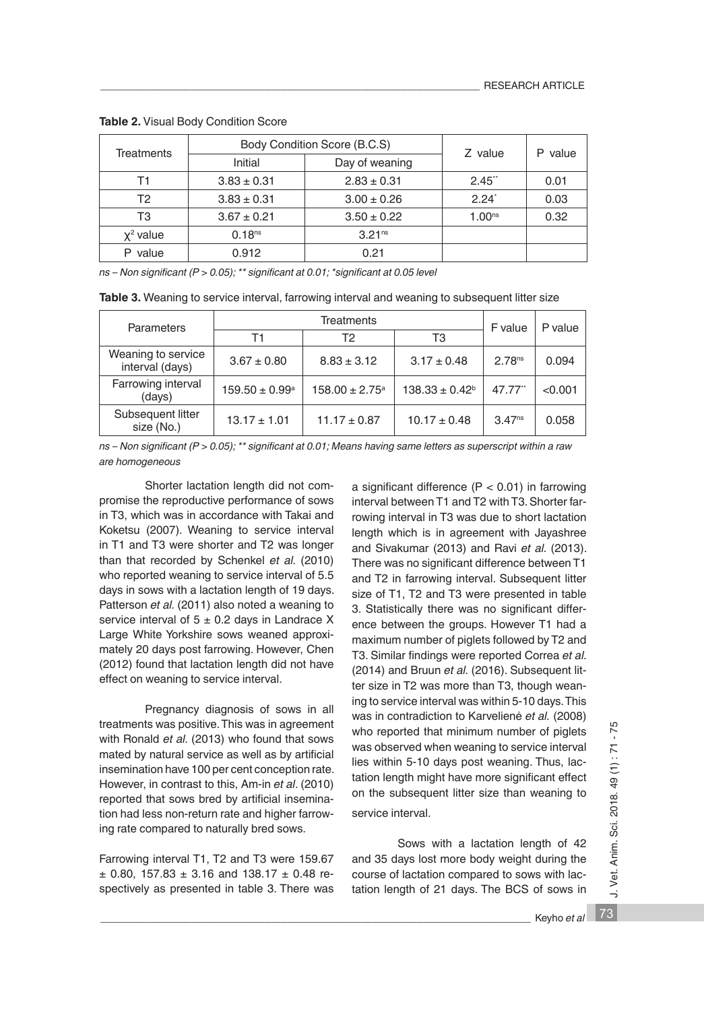| <b>Treatments</b> | Body Condition Score (B.C.S) | Z value            | value<br>Р         |      |
|-------------------|------------------------------|--------------------|--------------------|------|
|                   | Initial                      | Day of weaning     |                    |      |
| Τ1                | $3.83 \pm 0.31$              | $2.83 \pm 0.31$    | 2.45"              | 0.01 |
| T2                | $3.83 \pm 0.31$              | $3.00 \pm 0.26$    | $2.24^{\degree}$   | 0.03 |
| T3                | $3.67 \pm 0.21$              | $3.50 \pm 0.22$    | 1.00 <sup>ns</sup> | 0.32 |
| $x^2$ value       | 0.18 <sup>ns</sup>           | 3.21 <sup>ns</sup> |                    |      |
| value             | 0.912                        | 0.21               |                    |      |

**Table 2.** Visual Body Condition Score

*ns – Non significant (P > 0.05); \*\* significant at 0.01; \*significant at 0.05 level*

| Table 3. Weaning to service interval, farrowing interval and weaning to subsequent litter size |  |  |  |
|------------------------------------------------------------------------------------------------|--|--|--|
|------------------------------------------------------------------------------------------------|--|--|--|

| <b>Parameters</b>                     | Treatments                |                           |                     | F value            | P value |
|---------------------------------------|---------------------------|---------------------------|---------------------|--------------------|---------|
|                                       | Τ1                        | Т2                        | T3                  |                    |         |
| Weaning to service<br>interval (days) | $3.67 \pm 0.80$           | $8.83 \pm 3.12$           | $3.17 \pm 0.48$     | 2.78 <sup>ns</sup> | 0.094   |
| Farrowing interval<br>(days)          | $159.50 \pm 0.99^{\circ}$ | $158.00 \pm 2.75^{\circ}$ | $138.33 \pm 0.42^b$ | 47.77**            | < 0.001 |
| Subsequent litter<br>size (No.)       | $13.17 \pm 1.01$          | $11.17 \pm 0.87$          | $10.17 \pm 0.48$    | 3.47 <sup>ns</sup> | 0.058   |

*ns – Non significant (P > 0.05); \*\* significant at 0.01; Means having same letters as superscript within a raw are homogeneous*

Shorter lactation length did not compromise the reproductive performance of sows in T3, which was in accordance with Takai and Koketsu (2007). Weaning to service interval in T1 and T3 were shorter and T2 was longer than that recorded by Schenkel *et al.* (2010) who reported weaning to service interval of 5.5 days in sows with a lactation length of 19 days. Patterson *et al.* (2011) also noted a weaning to service interval of 5 ± 0.2 days in Landrace Χ Large White Yorkshire sows weaned approximately 20 days post farrowing. However, Chen (2012) found that lactation length did not have effect on weaning to service interval.

Pregnancy diagnosis of sows in all treatments was positive. This was in agreement with Ronald *et al.* (2013) who found that sows mated by natural service as well as by artificial insemination have 100 per cent conception rate. However, in contrast to this, Am-in *et al*. (2010) reported that sows bred by artificial insemination had less non-return rate and higher farrowing rate compared to naturally bred sows.

Farrowing interval T1, T2 and T3 were 159.67  $\pm$  0.80, 157.83  $\pm$  3.16 and 138.17  $\pm$  0.48 respectively as presented in table 3. There was a significant difference  $(P < 0.01)$  in farrowing interval between T1 and T2 with T3. Shorter farrowing interval in T3 was due to short lactation length which is in agreement with Jayashree and Sivakumar (2013) and Ravi *et al.* (2013). There was no significant difference between T1 and T2 in farrowing interval. Subsequent litter size of T1, T2 and T3 were presented in table 3. Statistically there was no significant difference between the groups. However T1 had a maximum number of piglets followed by T2 and T3. Similar findings were reported Correa *et al.*  (2014) and Bruun *et al.* (2016). Subsequent litter size in T2 was more than T3, though weaning to service interval was within 5-10 days. This was in contradiction to Karvelienė *et al.* (2008) who reported that minimum number of piglets was observed when weaning to service interval lies within 5-10 days post weaning. Thus, lactation length might have more significant effect on the subsequent litter size than weaning to service interval.

Sows with a lactation length of 42 and 35 days lost more body weight during the course of lactation compared to sows with lactation length of 21 days. The BCS of sows in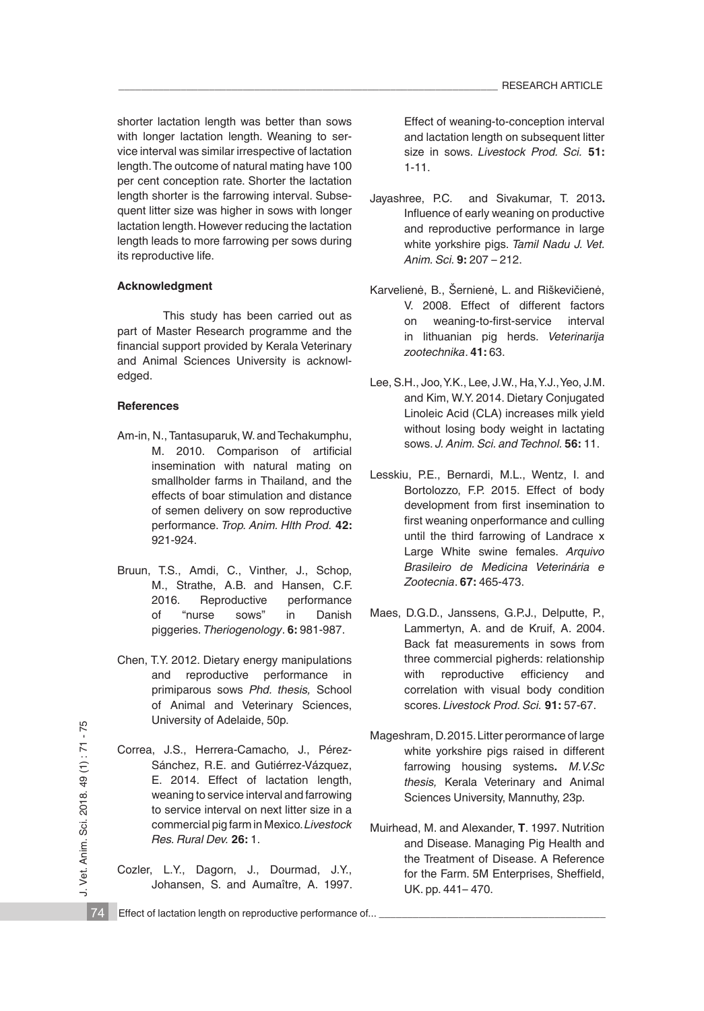shorter lactation length was better than sows with longer lactation length. Weaning to service interval was similar irrespective of lactation length. The outcome of natural mating have 100 per cent conception rate. Shorter the lactation length shorter is the farrowing interval. Subsequent litter size was higher in sows with longer lactation length. However reducing the lactation length leads to more farrowing per sows during its reproductive life.

# **Acknowledgment**

This study has been carried out as part of Master Research programme and the financial support provided by Kerala Veterinary and Animal Sciences University is acknowledged.

# **References**

- Am-in, N., Tantasuparuk, W. and Techakumphu, M. 2010. Comparison of artificial insemination with natural mating on smallholder farms in Thailand, and the effects of boar stimulation and distance of semen delivery on sow reproductive performance. *Trop. Anim. Hlth Prod.* **42:** 921-924.
- Bruun, T.S., Amdi, C., Vinther, J., Schop, M., Strathe, A.B. and Hansen, C.F. 2016. Reproductive performance of "nurse sows" in Danish piggeries. *Theriogenology*. **6:** 981-987.
- Chen, T.Y. 2012. Dietary energy manipulations and reproductive performance in primiparous sows *Phd. thesis,* School of Animal and Veterinary Sciences, University of Adelaide, 50p.
- Correa, J.S., Herrera-Camacho, J., Pérez-Sánchez, R.E. and Gutiérrez-Vázquez, E. 2014. Effect of lactation length, weaning to service interval and farrowing to service interval on next litter size in a commercial pig farm in Mexico.*Livestock Res. Rural Dev.* **26:** 1.
- Cozler, L.Y., Dagorn, J., Dourmad, J.Y., Johansen, S. and Aumaître, A. 1997.

Effect of weaning-to-conception interval and lactation length on subsequent litter size in sows. *Livestock Prod. Sci.* **51:** 1-11.

- Jayashree, P.C. and Sivakumar, T. 2013**.**  Influence of early weaning on productive and reproductive performance in large white yorkshire pigs. *Tamil Nadu J. Vet. Anim. Sci.* **9:** 207 – 212.
- Karvelienė, B., Šernienė, L. and Riškevičienė, V. 2008. Effect of different factors on weaning-to-first-service interval in lithuanian pig herds. *Veterinarija zootechnika*. **41:** 63.
- Lee, S.H., Joo, Y.K., Lee, J.W., Ha, Y.J., Yeo, J.M. and Kim, W.Y. 2014. Dietary Conjugated Linoleic Acid (CLA) increases milk yield without losing body weight in lactating sows. *J. Anim. Sci. and Technol.* **56:** 11.
- Lesskiu, P.E., Bernardi, M.L., Wentz, I. and Bortolozzo, F.P. 2015. Effect of body development from first insemination to first weaning onperformance and culling until the third farrowing of Landrace x Large White swine females. *Arquivo Brasileiro de Medicina Veterinária e Zootecnia*. **67:** 465-473.
- Maes, D.G.D., Janssens, G.P.J., Delputte, P., Lammertyn, A. and de Kruif, A. 2004. Back fat measurements in sows from three commercial pigherds: relationship with reproductive efficiency and correlation with visual body condition scores. *Livestock Prod. Sci.* **91:** 57-67.
- Mageshram, D. 2015. Litter perormance of large white yorkshire pigs raised in different farrowing housing systems**.** *M.V.Sc thesis,* Kerala Veterinary and Animal Sciences University, Mannuthy, 23p.
- Muirhead, M. and Alexander, **T**. 1997. Nutrition and Disease. Managing Pig Health and the Treatment of Disease. A Reference for the Farm. 5M Enterprises, Sheffield, UK. pp. 441– 470.
- 74 Effect of lactation length on reproductive performance of...

J. Vet. Anim. Sci. 2018. 49 (1): 71 - 75 J. Vet. Anim. Sci. 2018. 49 (1) : 71 - 75